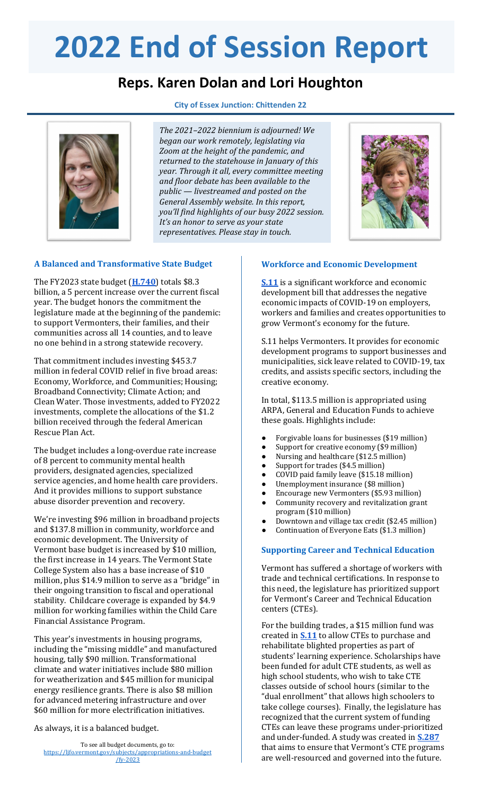# **2022 End of Session Report**

# **Reps. Karen Dolan and Lori Houghton**





*The 2021–2022 biennium is adjourned! We began our work remotely, legislating via Zoom at the height of the pandemic, and returned to the statehouse in January of this year. Through it all, every committee meeting and floor debate has been available to the public — livestreamed and posted on the General Assembly website. In this report, you'll find highlights of our busy 2022 session. It's an honor to serve as your state representatives. Please stay in touch.*



# **A Balanced and Transformative State Budget**

The FY2023 state budget (**[H.740](https://ljfo.vermont.gov/subjects/appropriations-and-budget/fy-2023)**) totals \$8.3 billion, a 5 percent increase over the current fiscal year. The budget honors the commitment the legislature made at the beginning of the pandemic: to support Vermonters, their families, and their communities across all 14 counties, and to leave no one behind in a strong statewide recovery.

That commitment includes investing \$453.7 million in federal COVID relief in five broad areas: Economy, Workforce, and Communities; Housing; Broadband Connectivity; Climate Action; and Clean Water. Those investments, added to FY2022 investments, complete the allocations of the \$1.2 billion received through the federal American Rescue Plan Act.

The budget includes a long-overdue rate increase of 8 percent to community mental health providers, designated agencies, specialized service agencies, and home health care providers. And it provides millions to support substance abuse disorder prevention and recovery.

We're investing \$96 million in broadband projects and \$137.8 million in community, workforce and economic development. The University of Vermont base budget is increased by \$10 million, the first increase in 14 years. The Vermont State College System also has a base increase of \$10 million, plus \$14.9 million to serve as a "bridge" in their ongoing transition to fiscal and operational stability. Childcare coverage is expanded by \$4.9 million for working families within the Child Care Financial Assistance Program.

This year's investments in housing programs, including the "missing middle" and manufactured housing, tally \$90 million. Transformational climate and water initiatives include \$80 million for weatherization and \$45 million for municipal energy resilience grants. There is also \$8 million for advanced metering infrastructure and over \$60 million for more electrification initiatives.

As always, it is a balanced budget.

## **Workforce and Economic Development**

**[S.11](https://legislature.vermont.gov/bill/status/2022/S.11)** is a significant workforce and economic development bill that addresses the negative economic impacts of COVID-19 on employers, workers and families and creates opportunities to grow Vermont's economy for the future.

S.11 helps Vermonters. It provides for economic development programs to support businesses and municipalities, sick leave related to COVID-19, tax credits, and assists specific sectors, including the creative economy.

In total, \$113.5 million is appropriated using ARPA, General and Education Funds to achieve these goals. Highlights include:

- Forgivable loans for businesses (\$19 million)
- Support for creative economy (\$9 million)
- Nursing and healthcare (\$12.5 million)
- Support for trades (\$4.5 million)
- COVID paid family leave (\$15.18 million)
- Unemployment insurance (\$8 million)
- Encourage new Vermonters (\$5.93 million) Community recovery and revitalization grant
- program (\$10 million) ● Downtown and village tax credit (\$2.45 million)
- Continuation of Everyone Eats (\$1.3 million)

# **Supporting Career and Technical Education**

Vermont has suffered a shortage of workers with trade and technical certifications. In response to this need, the legislature has prioritized support for Vermont's Career and Technical Education centers (CTEs).

For the building trades, a \$15 million fund was created in **[S.11](https://legislature.vermont.gov/bill/status/2022/S.11)** to allow CTEs to purchase and rehabilitate blighted properties as part of students' learning experience. Scholarships have been funded for adult CTE students, as well as high school students, who wish to take CTE classes outside of school hours (similar to the "dual enrollment" that allows high schoolers to take college courses). Finally, the legislature has recognized that the current system of funding CTEs can leave these programs under-prioritized and under-funded. A study was created in **[S.287](https://legislature.vermont.gov/bill/status/2022/S.287)** that aims to ensure that Vermont's CTE programs are well-resourced and governed into the future.